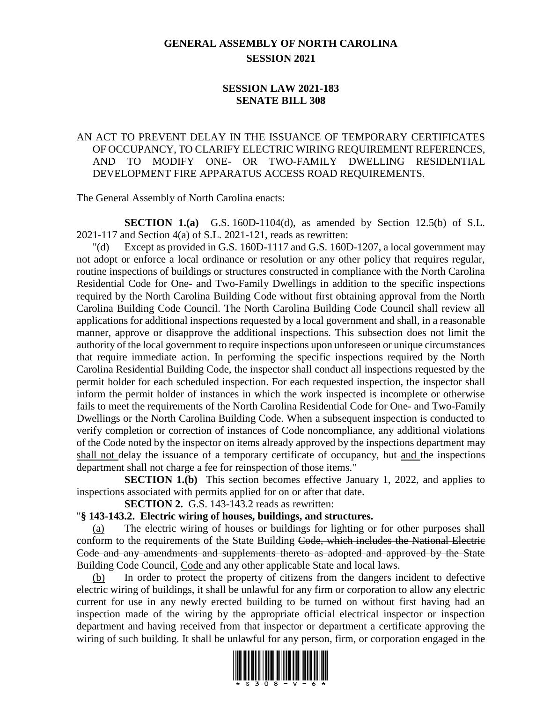## **GENERAL ASSEMBLY OF NORTH CAROLINA SESSION 2021**

## **SESSION LAW 2021-183 SENATE BILL 308**

## AN ACT TO PREVENT DELAY IN THE ISSUANCE OF TEMPORARY CERTIFICATES OF OCCUPANCY, TO CLARIFY ELECTRIC WIRING REQUIREMENT REFERENCES, AND TO MODIFY ONE- OR TWO-FAMILY DWELLING RESIDENTIAL DEVELOPMENT FIRE APPARATUS ACCESS ROAD REQUIREMENTS.

The General Assembly of North Carolina enacts:

**SECTION 1.(a)** G.S. 160D-1104(d), as amended by Section 12.5(b) of S.L. 2021-117 and Section 4(a) of S.L. 2021-121, reads as rewritten:

"(d) Except as provided in G.S. 160D-1117 and G.S. 160D-1207, a local government may not adopt or enforce a local ordinance or resolution or any other policy that requires regular, routine inspections of buildings or structures constructed in compliance with the North Carolina Residential Code for One- and Two-Family Dwellings in addition to the specific inspections required by the North Carolina Building Code without first obtaining approval from the North Carolina Building Code Council. The North Carolina Building Code Council shall review all applications for additional inspections requested by a local government and shall, in a reasonable manner, approve or disapprove the additional inspections. This subsection does not limit the authority of the local government to require inspections upon unforeseen or unique circumstances that require immediate action. In performing the specific inspections required by the North Carolina Residential Building Code, the inspector shall conduct all inspections requested by the permit holder for each scheduled inspection. For each requested inspection, the inspector shall inform the permit holder of instances in which the work inspected is incomplete or otherwise fails to meet the requirements of the North Carolina Residential Code for One- and Two-Family Dwellings or the North Carolina Building Code. When a subsequent inspection is conducted to verify completion or correction of instances of Code noncompliance, any additional violations of the Code noted by the inspector on items already approved by the inspections department  $\frac{m}{m}$ shall not delay the issuance of a temporary certificate of occupancy, but and the inspections department shall not charge a fee for reinspection of those items."

**SECTION 1.(b)** This section becomes effective January 1, 2022, and applies to inspections associated with permits applied for on or after that date.

**SECTION 2.** G.S. 143-143.2 reads as rewritten:

## "**§ 143-143.2. Electric wiring of houses, buildings, and structures.**

(a) The electric wiring of houses or buildings for lighting or for other purposes shall conform to the requirements of the State Building Code, which includes the National Electric Code and any amendments and supplements thereto as adopted and approved by the State Building Code Council, Code and any other applicable State and local laws.

In order to protect the property of citizens from the dangers incident to defective electric wiring of buildings, it shall be unlawful for any firm or corporation to allow any electric current for use in any newly erected building to be turned on without first having had an inspection made of the wiring by the appropriate official electrical inspector or inspection department and having received from that inspector or department a certificate approving the wiring of such building. It shall be unlawful for any person, firm, or corporation engaged in the

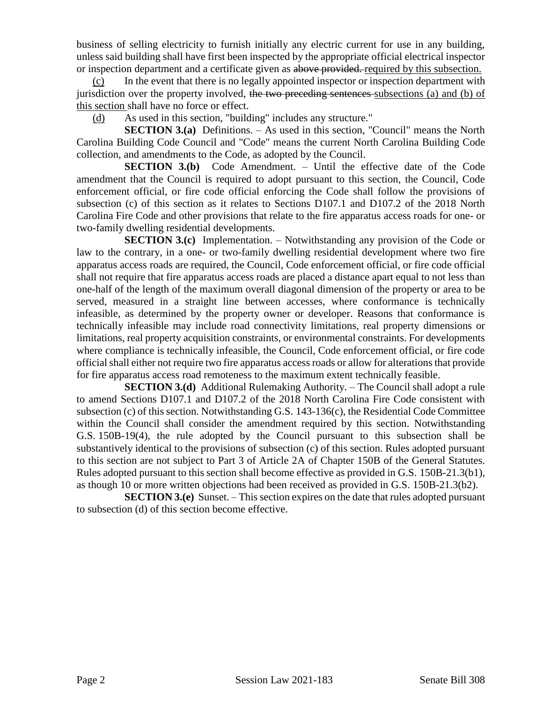business of selling electricity to furnish initially any electric current for use in any building, unless said building shall have first been inspected by the appropriate official electrical inspector or inspection department and a certificate given as above provided. required by this subsection.

(c) In the event that there is no legally appointed inspector or inspection department with jurisdiction over the property involved, the two preceding sentences subsections (a) and (b) of this section shall have no force or effect.

(d) As used in this section, "building" includes any structure."

**SECTION 3.(a)** Definitions. – As used in this section, "Council" means the North Carolina Building Code Council and "Code" means the current North Carolina Building Code collection, and amendments to the Code, as adopted by the Council.

**SECTION 3.(b)** Code Amendment. – Until the effective date of the Code amendment that the Council is required to adopt pursuant to this section, the Council, Code enforcement official, or fire code official enforcing the Code shall follow the provisions of subsection (c) of this section as it relates to Sections D107.1 and D107.2 of the 2018 North Carolina Fire Code and other provisions that relate to the fire apparatus access roads for one- or two-family dwelling residential developments.

**SECTION 3.(c)** Implementation. – Notwithstanding any provision of the Code or law to the contrary, in a one- or two-family dwelling residential development where two fire apparatus access roads are required, the Council, Code enforcement official, or fire code official shall not require that fire apparatus access roads are placed a distance apart equal to not less than one-half of the length of the maximum overall diagonal dimension of the property or area to be served, measured in a straight line between accesses, where conformance is technically infeasible, as determined by the property owner or developer. Reasons that conformance is technically infeasible may include road connectivity limitations, real property dimensions or limitations, real property acquisition constraints, or environmental constraints. For developments where compliance is technically infeasible, the Council, Code enforcement official, or fire code official shall either not require two fire apparatus access roads or allow for alterations that provide for fire apparatus access road remoteness to the maximum extent technically feasible.

**SECTION 3.(d)** Additional Rulemaking Authority. – The Council shall adopt a rule to amend Sections D107.1 and D107.2 of the 2018 North Carolina Fire Code consistent with subsection (c) of this section. Notwithstanding G.S. 143-136(c), the Residential Code Committee within the Council shall consider the amendment required by this section. Notwithstanding G.S. 150B-19(4), the rule adopted by the Council pursuant to this subsection shall be substantively identical to the provisions of subsection (c) of this section. Rules adopted pursuant to this section are not subject to Part 3 of Article 2A of Chapter 150B of the General Statutes. Rules adopted pursuant to this section shall become effective as provided in G.S. 150B-21.3(b1), as though 10 or more written objections had been received as provided in G.S. 150B-21.3(b2).

**SECTION 3.(e)** Sunset. – This section expires on the date that rules adopted pursuant to subsection (d) of this section become effective.